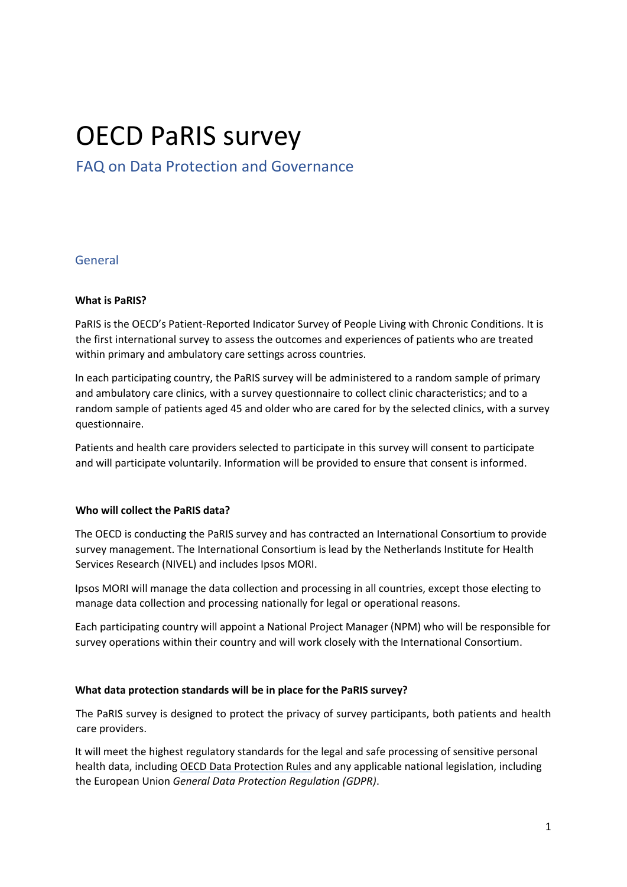# OECD PaRIS survey

## FAQ on Data Protection and Governance

## General

## **What is PaRIS?**

PaRIS is the OECD's Patient-Reported Indicator Survey of People Living with Chronic Conditions. It is the first international survey to assess the outcomes and experiences of patients who are treated within primary and ambulatory care settings across countries.

In each participating country, the PaRIS survey will be administered to a random sample of primary and ambulatory care clinics, with a survey questionnaire to collect clinic characteristics; and to a random sample of patients aged 45 and older who are cared for by the selected clinics, with a survey questionnaire.

Patients and health care providers selected to participate in this survey will consent to participate and will participate voluntarily. Information will be provided to ensure that consent is informed.

### **Who will collect the PaRIS data?**

The OECD is conducting the PaRIS survey and has contracted an International Consortium to provide survey management. The International Consortium is lead by the Netherlands Institute for Health Services Research (NIVEL) and includes Ipsos MORI.

Ipsos MORI will manage the data collection and processing in all countries, except those electing to manage data collection and processing nationally for legal or operational reasons.

Each participating country will appoint a National Project Manager (NPM) who will be responsible for survey operations within their country and will work closely with the International Consortium.

### **What data protection standards will be in place for the PaRIS survey?**

The PaRIS survey is designed to protect the privacy of survey participants, both patients and health care providers.

It will meet the highest regulatory standards for the legal and safe processing of sensitive personal health data, including [OECD Data Protection Rules](https://www.oecd.org/general/data-protection.htm) and any applicable national legislation, including the European Union *General Data Protection Regulation (GDPR)*.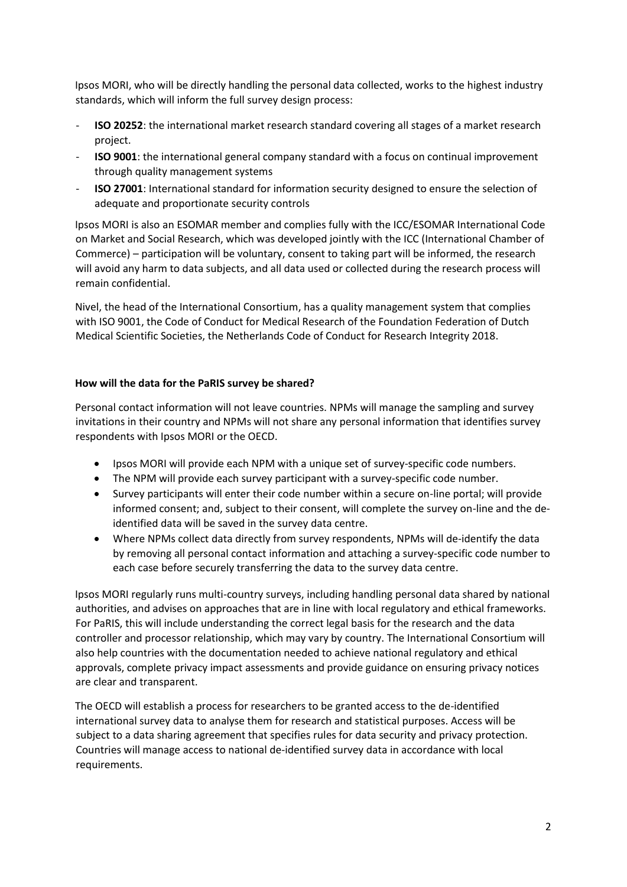Ipsos MORI, who will be directly handling the personal data collected, works to the highest industry standards, which will inform the full survey design process:

- **ISO 20252**: the international market research standard covering all stages of a market research project.
- **ISO 9001**: the international general company standard with a focus on continual improvement through quality management systems
- **ISO 27001**: International standard for information security designed to ensure the selection of adequate and proportionate security controls

Ipsos MORI is also an ESOMAR member and complies fully with the ICC/ESOMAR International Code on Market and Social Research, which was developed jointly with the ICC (International Chamber of Commerce) – participation will be voluntary, consent to taking part will be informed, the research will avoid any harm to data subjects, and all data used or collected during the research process will remain confidential.

Nivel, the head of the International Consortium, has a quality management system that complies with ISO 9001, the Code of Conduct for Medical Research of the Foundation Federation of Dutch Medical Scientific Societies, the Netherlands Code of Conduct for Research Integrity 2018.

## **How will the data for the PaRIS survey be shared?**

Personal contact information will not leave countries. NPMs will manage the sampling and survey invitations in their country and NPMs will not share any personal information that identifies survey respondents with Ipsos MORI or the OECD.

- Ipsos MORI will provide each NPM with a unique set of survey-specific code numbers.
- The NPM will provide each survey participant with a survey-specific code number.
- Survey participants will enter their code number within a secure on-line portal; will provide informed consent; and, subject to their consent, will complete the survey on-line and the deidentified data will be saved in the survey data centre.
- Where NPMs collect data directly from survey respondents, NPMs will de-identify the data by removing all personal contact information and attaching a survey-specific code number to each case before securely transferring the data to the survey data centre.

Ipsos MORI regularly runs multi-country surveys, including handling personal data shared by national authorities, and advises on approaches that are in line with local regulatory and ethical frameworks. For PaRIS, this will include understanding the correct legal basis for the research and the data controller and processor relationship, which may vary by country. The International Consortium will also help countries with the documentation needed to achieve national regulatory and ethical approvals, complete privacy impact assessments and provide guidance on ensuring privacy notices are clear and transparent.

The OECD will establish a process for researchers to be granted access to the de-identified international survey data to analyse them for research and statistical purposes. Access will be subject to a data sharing agreement that specifies rules for data security and privacy protection. Countries will manage access to national de-identified survey data in accordance with local requirements.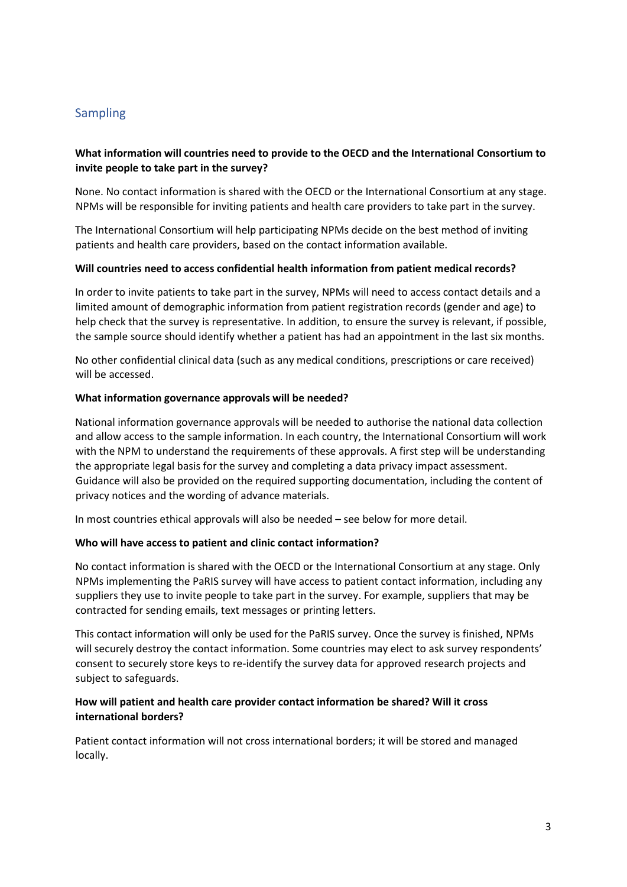## Sampling

## **What information will countries need to provide to the OECD and the International Consortium to invite people to take part in the survey?**

None. No contact information is shared with the OECD or the International Consortium at any stage. NPMs will be responsible for inviting patients and health care providers to take part in the survey.

The International Consortium will help participating NPMs decide on the best method of inviting patients and health care providers, based on the contact information available.

### **Will countries need to access confidential health information from patient medical records?**

In order to invite patients to take part in the survey, NPMs will need to access contact details and a limited amount of demographic information from patient registration records (gender and age) to help check that the survey is representative. In addition, to ensure the survey is relevant, if possible, the sample source should identify whether a patient has had an appointment in the last six months.

No other confidential clinical data (such as any medical conditions, prescriptions or care received) will be accessed.

#### **What information governance approvals will be needed?**

National information governance approvals will be needed to authorise the national data collection and allow access to the sample information. In each country, the International Consortium will work with the NPM to understand the requirements of these approvals. A first step will be understanding the appropriate legal basis for the survey and completing a data privacy impact assessment. Guidance will also be provided on the required supporting documentation, including the content of privacy notices and the wording of advance materials.

In most countries ethical approvals will also be needed – see below for more detail.

### **Who will have access to patient and clinic contact information?**

No contact information is shared with the OECD or the International Consortium at any stage. Only NPMs implementing the PaRIS survey will have access to patient contact information, including any suppliers they use to invite people to take part in the survey. For example, suppliers that may be contracted for sending emails, text messages or printing letters.

This contact information will only be used for the PaRIS survey. Once the survey is finished, NPMs will securely destroy the contact information. Some countries may elect to ask survey respondents' consent to securely store keys to re-identify the survey data for approved research projects and subject to safeguards.

## **How will patient and health care provider contact information be shared? Will it cross international borders?**

Patient contact information will not cross international borders; it will be stored and managed locally.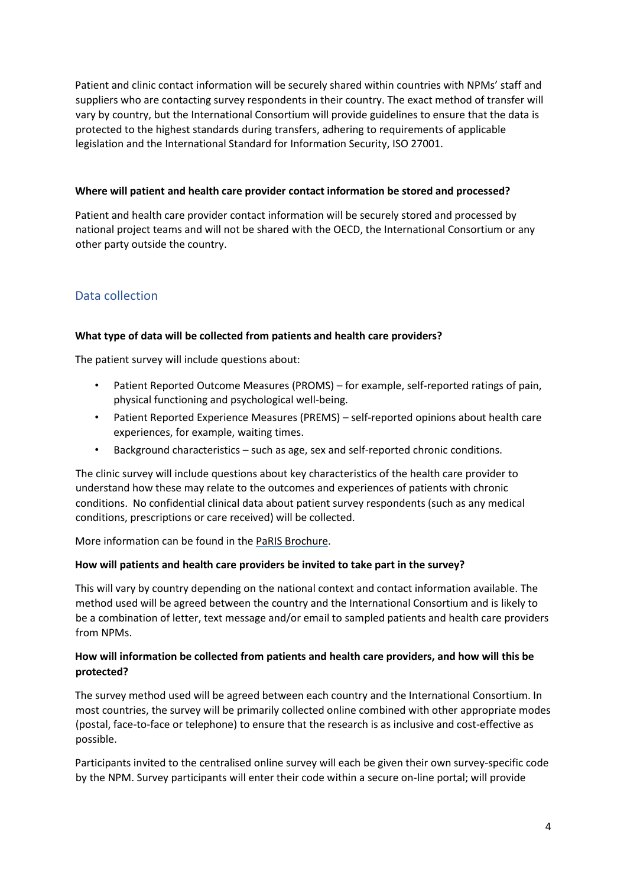Patient and clinic contact information will be securely shared within countries with NPMs' staff and suppliers who are contacting survey respondents in their country. The exact method of transfer will vary by country, but the International Consortium will provide guidelines to ensure that the data is protected to the highest standards during transfers, adhering to requirements of applicable legislation and the International Standard for Information Security, ISO 27001.

## **Where will patient and health care provider contact information be stored and processed?**

Patient and health care provider contact information will be securely stored and processed by national project teams and will not be shared with the OECD, the International Consortium or any other party outside the country.

## Data collection

## **What type of data will be collected from patients and health care providers?**

The patient survey will include questions about:

- Patient Reported Outcome Measures (PROMS) for example, self-reported ratings of pain, physical functioning and psychological well-being.
- Patient Reported Experience Measures (PREMS) self-reported opinions about health care experiences, for example, waiting times.
- Background characteristics such as age, sex and self-reported chronic conditions.

The clinic survey will include questions about key characteristics of the health care provider to understand how these may relate to the outcomes and experiences of patients with chronic conditions. No confidential clinical data about patient survey respondents (such as any medical conditions, prescriptions or care received) will be collected.

More information can be found in the [PaRIS Brochure.](https://www.oecd.org/health/health-systems/PaRIS-survey-Patients-with-Chronic-Conditions-June-2019.pdf)

### **How will patients and health care providers be invited to take part in the survey?**

This will vary by country depending on the national context and contact information available. The method used will be agreed between the country and the International Consortium and is likely to be a combination of letter, text message and/or email to sampled patients and health care providers from NPMs.

## **How will information be collected from patients and health care providers, and how will this be protected?**

The survey method used will be agreed between each country and the International Consortium. In most countries, the survey will be primarily collected online combined with other appropriate modes (postal, face-to-face or telephone) to ensure that the research is as inclusive and cost-effective as possible.

Participants invited to the centralised online survey will each be given their own survey-specific code by the NPM. Survey participants will enter their code within a secure on-line portal; will provide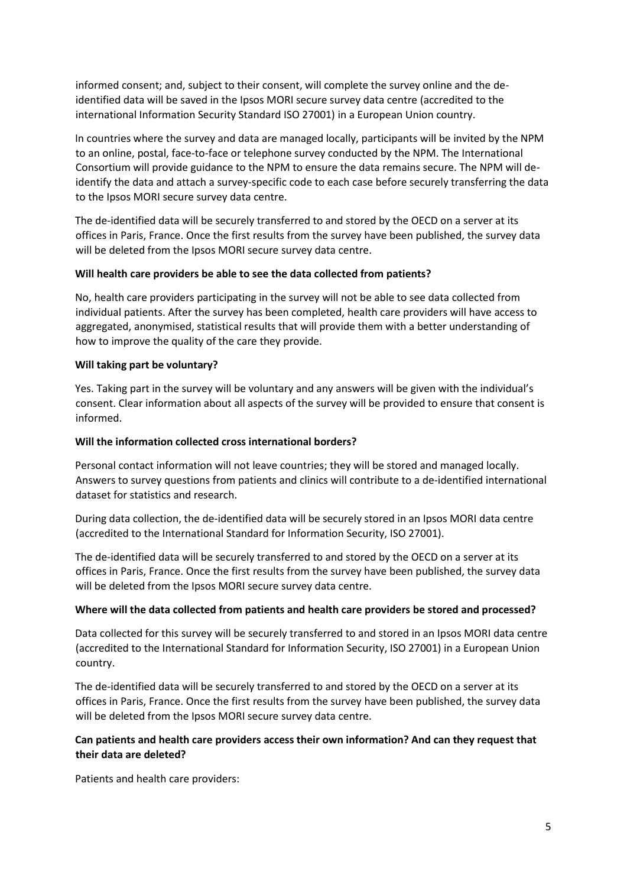informed consent; and, subject to their consent, will complete the survey online and the deidentified data will be saved in the Ipsos MORI secure survey data centre (accredited to the international Information Security Standard ISO 27001) in a European Union country.

In countries where the survey and data are managed locally, participants will be invited by the NPM to an online, postal, face-to-face or telephone survey conducted by the NPM. The International Consortium will provide guidance to the NPM to ensure the data remains secure. The NPM will deidentify the data and attach a survey-specific code to each case before securely transferring the data to the Ipsos MORI secure survey data centre.

The de-identified data will be securely transferred to and stored by the OECD on a server at its offices in Paris, France. Once the first results from the survey have been published, the survey data will be deleted from the Ipsos MORI secure survey data centre.

## **Will health care providers be able to see the data collected from patients?**

No, health care providers participating in the survey will not be able to see data collected from individual patients. After the survey has been completed, health care providers will have access to aggregated, anonymised, statistical results that will provide them with a better understanding of how to improve the quality of the care they provide.

## **Will taking part be voluntary?**

Yes. Taking part in the survey will be voluntary and any answers will be given with the individual's consent. Clear information about all aspects of the survey will be provided to ensure that consent is informed.

## **Will the information collected cross international borders?**

Personal contact information will not leave countries; they will be stored and managed locally. Answers to survey questions from patients and clinics will contribute to a de-identified international dataset for statistics and research.

During data collection, the de-identified data will be securely stored in an Ipsos MORI data centre (accredited to the International Standard for Information Security, ISO 27001).

The de-identified data will be securely transferred to and stored by the OECD on a server at its offices in Paris, France. Once the first results from the survey have been published, the survey data will be deleted from the Ipsos MORI secure survey data centre.

### **Where will the data collected from patients and health care providers be stored and processed?**

Data collected for this survey will be securely transferred to and stored in an Ipsos MORI data centre (accredited to the International Standard for Information Security, ISO 27001) in a European Union country.

The de-identified data will be securely transferred to and stored by the OECD on a server at its offices in Paris, France. Once the first results from the survey have been published, the survey data will be deleted from the Ipsos MORI secure survey data centre.

## **Can patients and health care providers access their own information? And can they request that their data are deleted?**

Patients and health care providers: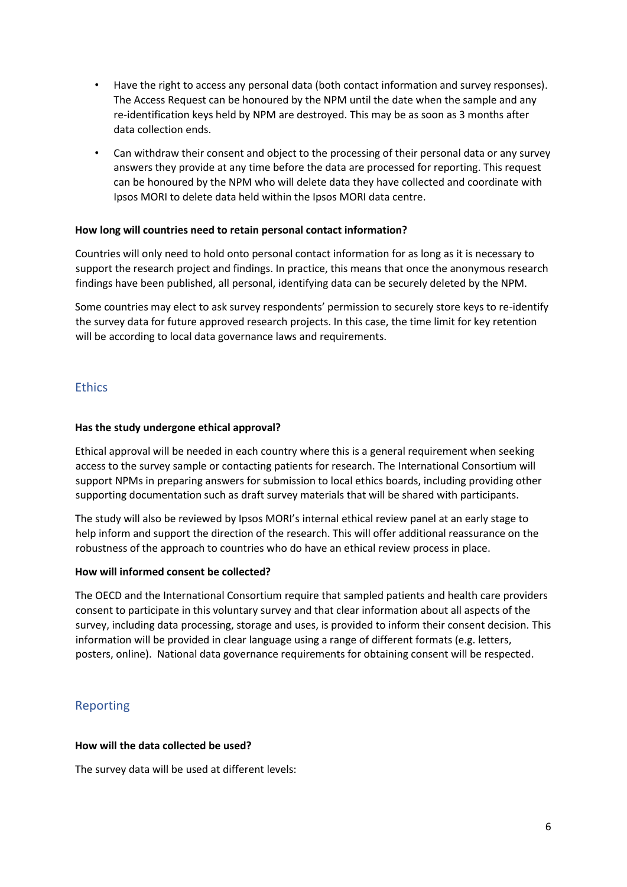- Have the right to access any personal data (both contact information and survey responses). The Access Request can be honoured by the NPM until the date when the sample and any re-identification keys held by NPM are destroyed. This may be as soon as 3 months after data collection ends.
- Can withdraw their consent and object to the processing of their personal data or any survey answers they provide at any time before the data are processed for reporting. This request can be honoured by the NPM who will delete data they have collected and coordinate with Ipsos MORI to delete data held within the Ipsos MORI data centre.

## **How long will countries need to retain personal contact information?**

Countries will only need to hold onto personal contact information for as long as it is necessary to support the research project and findings. In practice, this means that once the anonymous research findings have been published, all personal, identifying data can be securely deleted by the NPM.

Some countries may elect to ask survey respondents' permission to securely store keys to re-identify the survey data for future approved research projects. In this case, the time limit for key retention will be according to local data governance laws and requirements.

## **Ethics**

### **Has the study undergone ethical approval?**

Ethical approval will be needed in each country where this is a general requirement when seeking access to the survey sample or contacting patients for research. The International Consortium will support NPMs in preparing answers for submission to local ethics boards, including providing other supporting documentation such as draft survey materials that will be shared with participants.

The study will also be reviewed by Ipsos MORI's internal ethical review panel at an early stage to help inform and support the direction of the research. This will offer additional reassurance on the robustness of the approach to countries who do have an ethical review process in place.

## **How will informed consent be collected?**

The OECD and the International Consortium require that sampled patients and health care providers consent to participate in this voluntary survey and that clear information about all aspects of the survey, including data processing, storage and uses, is provided to inform their consent decision. This information will be provided in clear language using a range of different formats (e.g. letters, posters, online). National data governance requirements for obtaining consent will be respected.

## Reporting

### **How will the data collected be used?**

The survey data will be used at different levels: